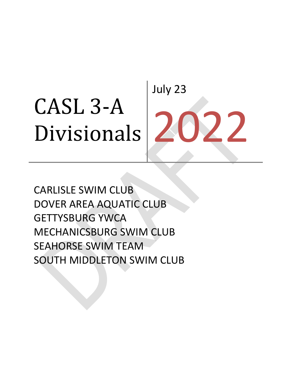# CASL 3‐A Divisionals July 23 027

CARLISLE SWIM CLUB DOVER AREA AQUATIC CLUB GETTYSBURG YWCA MECHANICSBURG SWIM CLUB SEAHORSE SWIM TEAM SOUTH MIDDLETON SWIM CLUB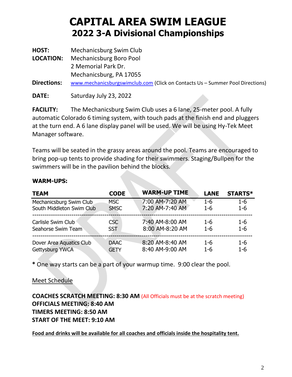| HOST:              | Mechanicsburg Swim Club                                                       |
|--------------------|-------------------------------------------------------------------------------|
| <b>LOCATION:</b>   | Mechanicsburg Boro Pool                                                       |
|                    | 2 Memorial Park Dr.                                                           |
|                    | Mechanicsburg, PA 17055                                                       |
| <b>Directions:</b> | www.mechanicsburgswimclub.com (Click on Contacts Us - Summer Pool Directions) |

**DATE:** Saturday July 23, 2022

**FACILITY:** The Mechanicsburg Swim Club uses a 6 lane, 25-meter pool. A fully automatic Colorado 6 timing system, with touch pads at the finish end and pluggers at the turn end. A 6 lane display panel will be used. We will be using Hy-Tek Meet Manager software.

Teams will be seated in the grassy areas around the pool. Teams are encouraged to bring pop-up tents to provide shading for their swimmers. Staging/Bullpen for the swimmers will be in the pavilion behind the blocks.

| <b>TEAM</b>               | <b>CODE</b> | <b>WARM-UP TIME</b> | <b>LANE</b> | <b>STARTS*</b> |
|---------------------------|-------------|---------------------|-------------|----------------|
| Mechanicsburg Swim Club   | <b>MSC</b>  | 7:00 AM-7:20 AM     | $1 - 6$     | $1 - 6$        |
| South Middleton Swim Club | <b>SMSC</b> | 7:20 AM-7:40 AM     | $1 - 6$     | $1 - 6$        |
| Carlisle Swim Club        | CSC         | 7:40 AM-8:00 AM     | $1 - 6$     | $1-6$          |
| Seahorse Swim Team        | <b>SST</b>  | 8:00 AM-8:20 AM     | $1 - 6$     | $1 - 6$        |
| Dover Area Aquatics Club  | <b>DAAC</b> | 8:20 AM-8:40 AM     | $1 - 6$     | $1-6$          |
| Gettysburg YWCA           | <b>GETY</b> | 8:40 AM-9:00 AM     | $1 - 6$     | $1 - 6$        |

#### **WARM-UPS:**

**\*** One way starts can be a part of your warmup time. 9:00 clear the pool.

Meet Schedule

**COACHES SCRATCH MEETING: 8:30 AM** (All Officials must be at the scratch meeting) **OFFICIALS MEETING: 8:40 AM TIMERS MEETING: 8:50 AM START OF THE MEET: 9:10 AM**

**Food and drinks will be available for all coaches and officials inside the hospitality tent.**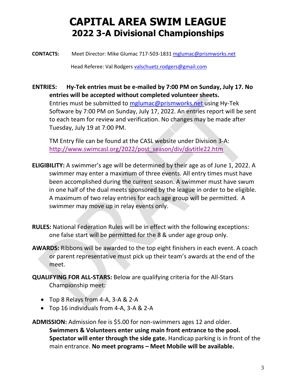**CONTACTS:** Meet Director: Mike Glumac 717-503-1831 [mglumac@prismworks.net](mailto:mglumac@prismworks.net)

Head Referee: Val Rodgers [valschuetz.rodgers@gmail.com](mailto:valschuetz.rodgers@gmail.com)

**ENTRIES: Hy-Tek entries must be e-mailed by 7:00 PM on Sunday, July 17. No entries will be accepted without completed volunteer sheets.** Entries must be submitted to [mglumac@prismworks.net](mailto:mglumac@prismworks.net) using Hy-Tek Software by 7:00 PM on Sunday, July 17, 2022. An entries report will be sent to each team for review and verification. No changes may be made after Tuesday, July 19 at 7:00 PM.

TM Entry file can be found at the CASL website under Division 3-A: [http://www.swimcasl.org/2022/post\\_season/div/divtitle22.htm](https://nam04.safelinks.protection.outlook.com/?url=http%3A%2F%2Fwww.swimcasl.org%2F2022%2Fpost_season%2Fdiv%2Fdivtitle22.htm&data=05%7C01%7Cmglumac%40prismworks.net%7Cf7913ad8dc90479fa6d608da53bdc1e0%7C6b62b5972fc14d69b1c92db67e115b18%7C0%7C0%7C637914371719700107%7CUnknown%7CTWFpbGZsb3d8eyJWIjoiMC4wLjAwMDAiLCJQIjoiV2luMzIiLCJBTiI6Ik1haWwiLCJXVCI6Mn0%3D%7C3000%7C%7C%7C&sdata=6aICxKIGJKlhKXS6KBSZqYgBFYXYdpA1kbwD%2BDqFcPY%3D&reserved=0)

- **ELIGIBILITY:** A swimmer's age will be determined by their age as of June 1, 2022. A swimmer may enter a maximum of three events. All entry times must have been accomplished during the current season. A swimmer must have swum in one half of the dual meets sponsored by the league in order to be eligible. A maximum of two relay entries for each age group will be permitted. A swimmer may move up in relay events only.
- **RULES:** National Federation Rules will be in effect with the following exceptions: one false start will be permitted for the 8 & under age group only.
- **AWARDS:** Ribbons will be awarded to the top eight finishers in each event. A coach or parent representative must pick up their team's awards at the end of the meet.
- **QUALIFYING FOR ALL-STARS:** Below are qualifying criteria for the All-Stars Championship meet:
	- Top 8 Relays from 4-A, 3-A & 2-A
	- Top 16 individuals from 4-A, 3-A & 2-A

**ADMISSION:** Admission fee is \$5.00 for non-swimmers ages 12 and older. **Swimmers & Volunteers enter using main front entrance to the pool. Spectator will enter through the side gate.** Handicap parking is in front of the main entrance. **No meet programs – Meet Mobile will be available.**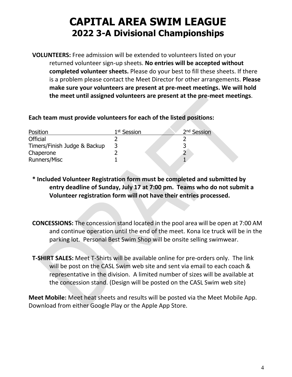**VOLUNTEERS:** Free admission will be extended to volunteers listed on your returned volunteer sign-up sheets. **No entries will be accepted without completed volunteer sheets.** Please do your best to fill these sheets. If there is a problem please contact the Meet Director for other arrangements. **Please make sure your volunteers are present at pre-meet meetings. We will hold the meet until assigned volunteers are present at the pre-meet meetings**.

#### **Each team must provide volunteers for each of the listed positions:**

| Position                     | 1 <sup>st</sup> Session | 2 <sup>nd</sup> Session |
|------------------------------|-------------------------|-------------------------|
| Official                     |                         |                         |
| Timers/Finish Judge & Backup |                         |                         |
| Chaperone                    |                         |                         |
| Runners/Misc                 |                         |                         |

- **\* Included Volunteer Registration form must be completed and submitted by entry deadline of Sunday, July 17 at 7:00 pm. Teams who do not submit a Volunteer registration form will not have their entries processed.**
- **CONCESSIONS:** The concession stand located in the pool area will be open at 7:00 AM and continue operation until the end of the meet. Kona Ice truck will be in the parking lot. Personal Best Swim Shop will be onsite selling swimwear.
- **T-SHIRT SALES:** Meet T-Shirts will be available online for pre-orders only. The link will be post on the CASL Swim web site and sent via email to each coach & representative in the division. A limited number of sizes will be available at the concession stand. (Design will be posted on the CASL Swim web site)

**Meet Mobile:** Meet heat sheets and results will be posted via the Meet Mobile App. Download from either Google Play or the Apple App Store.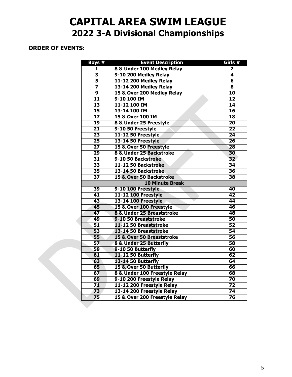#### **ORDER OF EVENTS:**

| Boys #                   | <b>Event Description</b>      | Girls #                 |
|--------------------------|-------------------------------|-------------------------|
| 1                        | 8 & Under 100 Medley Relay    | 2                       |
| $\overline{\mathbf{3}}$  | 9-10 200 Medley Relay         | $\overline{\mathbf{4}}$ |
| $\overline{\mathbf{5}}$  | 11-12 200 Medley Relay        | $\overline{\mathbf{6}}$ |
| $\overline{\mathbf{z}}$  | 13-14 200 Medley Relay        | $\overline{\mathbf{8}}$ |
| $\overline{9}$           | 15 & Over 200 Medley Relay    | 10                      |
| $\overline{\mathbf{11}}$ | 9-10 100 IM                   | $\overline{12}$         |
| $\overline{13}$          | 11-12 100 IM                  | 14                      |
| $\overline{15}$          | 13-14 100 IM                  | $\overline{16}$         |
| $\overline{17}$          | 15 & Over 100 IM              | $\overline{18}$         |
| 19                       | 8 & Under 25 Freestyle        | $\overline{20}$         |
| $\overline{21}$          | 9-10 50 Freestyle             | $\overline{22}$         |
| $\overline{23}$          | 11-12 50 Freestyle            | $\overline{24}$         |
| $\overline{25}$          | 13-14 50 Freestyle            | $\overline{26}$         |
| $\overline{27}$          | 15 & Over 50 Freestyle        | $\overline{28}$         |
| 29                       | 8 & Under 25 Backstroke       | 30                      |
| $\overline{31}$          | 9-10 50 Backstroke            | $\overline{32}$         |
| $\overline{33}$          | 11-12 50 Backstroke           | $\overline{34}$         |
| $\overline{35}$          | 13-14 50 Backstroke           | $\overline{36}$         |
| $\overline{37}$          | 15 & Over 50 Backstroke       | $\overline{38}$         |
|                          | <b>10 Minute Break</b>        |                         |
| 39                       | 9-10 100 Freestyle            | 40                      |
| 41                       | <b>11-12 100 Freestyle</b>    | 42                      |
| 43                       | <b>13-14 100 Freestyle</b>    | 44                      |
| 45                       | 15 & Over 100 Freestyle       | 46                      |
| 47                       | 8 & Under 25 Breaststroke     | 48                      |
| 49                       | 9-10 50 Breaststroke          | $\overline{50}$         |
| $\overline{51}$          | 11-12 50 Breaststroke         | $\overline{52}$         |
| 53                       | 13-14 50 Breaststroke         | 54                      |
| $\overline{55}$          | 15 & Over 50 Breaststroke     | $\overline{56}$         |
| 57                       | 8 & Under 25 Butterfly        | $\overline{58}$         |
| 59                       | 9-10 50 Butterfly             | 60                      |
| 61                       | 11-12 50 Butterfly            | 62                      |
| 63                       | 13-14 50 Butterfly            | 64                      |
| 65                       | 15 & Over 50 Butterfly        | 66                      |
| 67                       | 8 & Under 100 Freestyle Relay | 68                      |
| 69                       | 9-10 200 Freestyle Relay      | $\overline{70}$         |
| 71                       | 11-12 200 Freestyle Relay     | 72                      |
| 73                       | 13-14 200 Freestyle Relay     | $\overline{74}$         |
| $\overline{75}$          | 15 & Over 200 Freestyle Relay | $\overline{76}$         |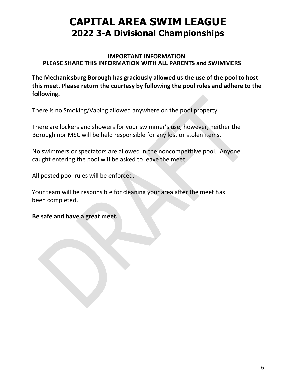#### **IMPORTANT INFORMATION PLEASE SHARE THIS INFORMATION WITH ALL PARENTS and SWIMMERS**

**The Mechanicsburg Borough has graciously allowed us the use of the pool to host this meet. Please return the courtesy by following the pool rules and adhere to the following.**

There is no Smoking/Vaping allowed anywhere on the pool property.

There are lockers and showers for your swimmer's use, however, neither the Borough nor MSC will be held responsible for any lost or stolen items.

No swimmers or spectators are allowed in the noncompetitive pool. Anyone caught entering the pool will be asked to leave the meet.

All posted pool rules will be enforced.

Your team will be responsible for cleaning your area after the meet has been completed.

**Be safe and have a great meet.**